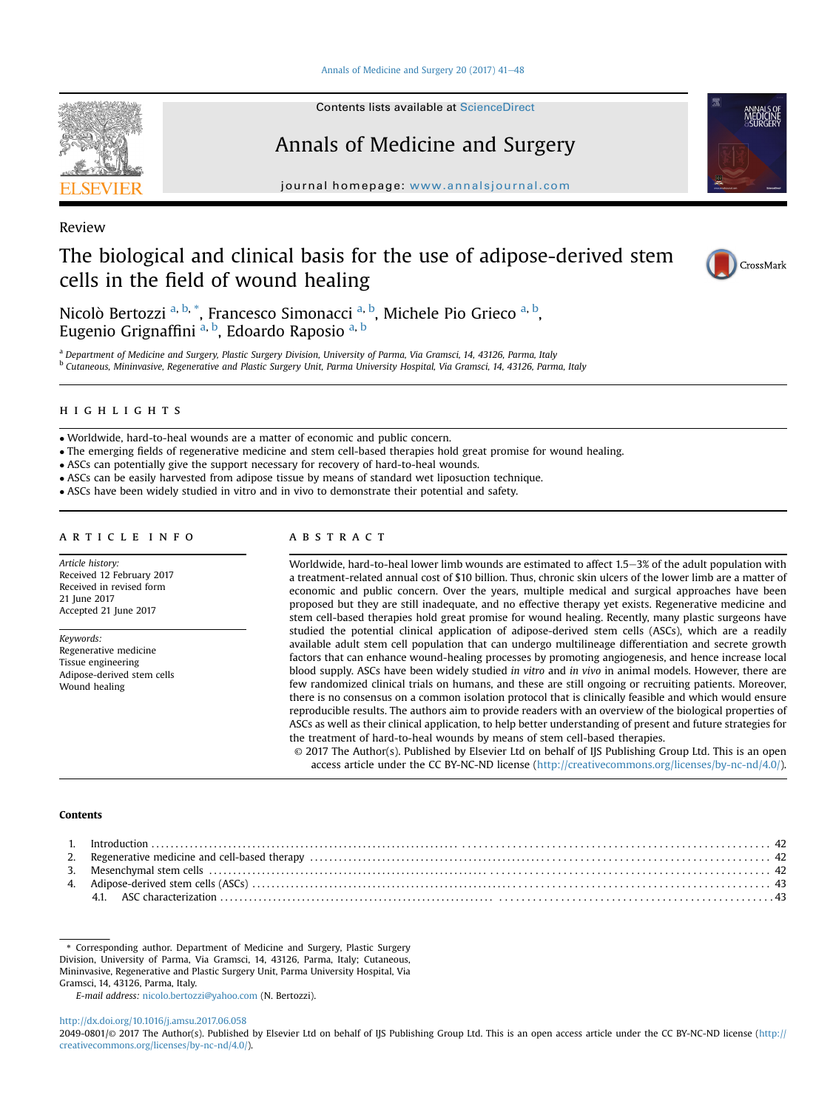#### Annals of Medicine and Surgery 20  $(2017)$  41 $-48$  $-48$



Contents lists available at ScienceDirect

# Annals of Medicine and Surgery

journal homepage: [www.annalsjournal.com](http://www.annalsjournal.com)



# The biological and clinical basis for the use of adipose-derived stem cells in the field of wound healing



# CrossMark

Nicolò Bertozzi <sup>a, b,</sup> \*, Francesco Simonacci <sup>a, b</sup>, Michele Pio Grieco <sup>a, b</sup>, Eugenio Grignaffini <sup>a, b</sup>, Edoardo Raposio <sup>a, b</sup>

a Department of Medicine and Surgery, Plastic Surgery Division, University of Parma, Via Gramsci, 14, 43126, Parma, Italy <sup>b</sup> Cutaneous, Mininvasive, Regenerative and Plastic Surgery Unit, Parma University Hospital, Via Gramsci, 14, 43126, Parma, Italy

# highlights are the state of the state of

Worldwide, hard-to-heal wounds are a matter of economic and public concern.

- The emerging fields of regenerative medicine and stem cell-based therapies hold great promise for wound healing.
- ASCs can potentially give the support necessary for recovery of hard-to-heal wounds.
- ASCs can be easily harvested from adipose tissue by means of standard wet liposuction technique.
- ASCs have been widely studied in vitro and in vivo to demonstrate their potential and safety.

# article info

Article history: Received 12 February 2017 Received in revised form 21 June 2017 Accepted 21 June 2017

Keywords: Regenerative medicine Tissue engineering Adipose-derived stem cells Wound healing

# abstract

Worldwide, hard-to-heal lower limb wounds are estimated to affect 1.5-3% of the adult population with a treatment-related annual cost of \$10 billion. Thus, chronic skin ulcers of the lower limb are a matter of economic and public concern. Over the years, multiple medical and surgical approaches have been proposed but they are still inadequate, and no effective therapy yet exists. Regenerative medicine and stem cell-based therapies hold great promise for wound healing. Recently, many plastic surgeons have studied the potential clinical application of adipose-derived stem cells (ASCs), which are a readily available adult stem cell population that can undergo multilineage differentiation and secrete growth factors that can enhance wound-healing processes by promoting angiogenesis, and hence increase local blood supply. ASCs have been widely studied in vitro and in vivo in animal models. However, there are few randomized clinical trials on humans, and these are still ongoing or recruiting patients. Moreover, there is no consensus on a common isolation protocol that is clinically feasible and which would ensure reproducible results. The authors aim to provide readers with an overview of the biological properties of ASCs as well as their clinical application, to help better understanding of present and future strategies for the treatment of hard-to-heal wounds by means of stem cell-based therapies.

© 2017 The Author(s). Published by Elsevier Ltd on behalf of IJS Publishing Group Ltd. This is an open access article under the CC BY-NC-ND license [\(http://creativecommons.org/licenses/by-nc-nd/4.0/](http://creativecommons.org/licenses/by-nc-nd/4.0/)).

# Contents

\* Corresponding author. Department of Medicine and Surgery, Plastic Surgery Division, University of Parma, Via Gramsci, 14, 43126, Parma, Italy; Cutaneous, Mininvasive, Regenerative and Plastic Surgery Unit, Parma University Hospital, Via Gramsci, 14, 43126, Parma, Italy.

E-mail address: [nicolo.bertozzi@yahoo.com](mailto:nicolo.bertozzi@yahoo.com) (N. Bertozzi).

<http://dx.doi.org/10.1016/j.amsu.2017.06.058>

2049-0801/© 2017 The Author(s). Published by Elsevier Ltd on behalf of IJS Publishing Group Ltd. This is an open access article under the CC BY-NC-ND license ([http://](http://creativecommons.org/licenses/by-nc-nd/4.0/) [creativecommons.org/licenses/by-nc-nd/4.0/](http://creativecommons.org/licenses/by-nc-nd/4.0/)).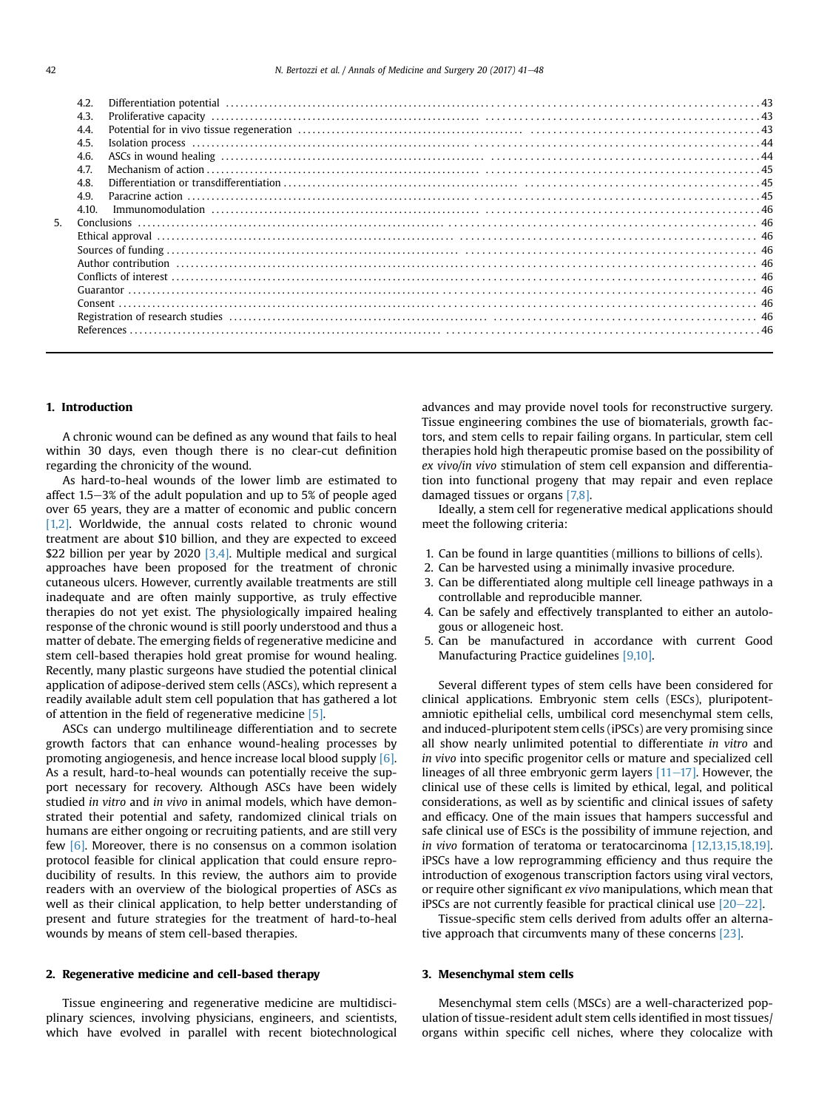|    | 4.2.  |  |
|----|-------|--|
|    | 4.3.  |  |
|    | 4.4.  |  |
|    | 4.5.  |  |
|    | 4.6.  |  |
|    | 4.7.  |  |
|    | 4.8.  |  |
|    | 4.9.  |  |
|    | 4.10. |  |
| 5. |       |  |
|    |       |  |
|    |       |  |
|    |       |  |
|    |       |  |
|    |       |  |
|    |       |  |
|    |       |  |
|    |       |  |
|    |       |  |

# 1. Introduction

A chronic wound can be defined as any wound that fails to heal within 30 days, even though there is no clear-cut definition regarding the chronicity of the wound.

As hard-to-heal wounds of the lower limb are estimated to affect  $1.5-3%$  of the adult population and up to 5% of people aged over 65 years, they are a matter of economic and public concern [\[1,2\]](#page-5-0). Worldwide, the annual costs related to chronic wound treatment are about \$10 billion, and they are expected to exceed \$22 billion per year by 2020 [\[3,4\].](#page-6-0) Multiple medical and surgical approaches have been proposed for the treatment of chronic cutaneous ulcers. However, currently available treatments are still inadequate and are often mainly supportive, as truly effective therapies do not yet exist. The physiologically impaired healing response of the chronic wound is still poorly understood and thus a matter of debate. The emerging fields of regenerative medicine and stem cell-based therapies hold great promise for wound healing. Recently, many plastic surgeons have studied the potential clinical application of adipose-derived stem cells (ASCs), which represent a readily available adult stem cell population that has gathered a lot of attention in the field of regenerative medicine [\[5\]](#page-6-0).

ASCs can undergo multilineage differentiation and to secrete growth factors that can enhance wound-healing processes by promoting angiogenesis, and hence increase local blood supply [\[6\].](#page-6-0) As a result, hard-to-heal wounds can potentially receive the support necessary for recovery. Although ASCs have been widely studied in vitro and in vivo in animal models, which have demonstrated their potential and safety, randomized clinical trials on humans are either ongoing or recruiting patients, and are still very few [\[6\].](#page-6-0) Moreover, there is no consensus on a common isolation protocol feasible for clinical application that could ensure reproducibility of results. In this review, the authors aim to provide readers with an overview of the biological properties of ASCs as well as their clinical application, to help better understanding of present and future strategies for the treatment of hard-to-heal wounds by means of stem cell-based therapies.

# 2. Regenerative medicine and cell-based therapy

Tissue engineering and regenerative medicine are multidisciplinary sciences, involving physicians, engineers, and scientists, which have evolved in parallel with recent biotechnological advances and may provide novel tools for reconstructive surgery. Tissue engineering combines the use of biomaterials, growth factors, and stem cells to repair failing organs. In particular, stem cell therapies hold high therapeutic promise based on the possibility of ex vivo/in vivo stimulation of stem cell expansion and differentiation into functional progeny that may repair and even replace damaged tissues or organs [\[7,8\].](#page-6-0)

Ideally, a stem cell for regenerative medical applications should meet the following criteria:

- 1. Can be found in large quantities (millions to billions of cells).
- 2. Can be harvested using a minimally invasive procedure.
- 3. Can be differentiated along multiple cell lineage pathways in a controllable and reproducible manner.
- 4. Can be safely and effectively transplanted to either an autologous or allogeneic host.
- 5. Can be manufactured in accordance with current Good Manufacturing Practice guidelines [\[9,10\]](#page-6-0).

Several different types of stem cells have been considered for clinical applications. Embryonic stem cells (ESCs), pluripotentamniotic epithelial cells, umbilical cord mesenchymal stem cells, and induced-pluripotent stem cells (iPSCs) are very promising since all show nearly unlimited potential to differentiate in vitro and in vivo into specific progenitor cells or mature and specialized cell lineages of all three embryonic germ layers  $[11-17]$  $[11-17]$ . However, the clinical use of these cells is limited by ethical, legal, and political considerations, as well as by scientific and clinical issues of safety and efficacy. One of the main issues that hampers successful and safe clinical use of ESCs is the possibility of immune rejection, and in vivo formation of teratoma or teratocarcinoma [\[12,13,15,18,19\].](#page-6-0) iPSCs have a low reprogramming efficiency and thus require the introduction of exogenous transcription factors using viral vectors, or require other significant ex vivo manipulations, which mean that iPSCs are not currently feasible for practical clinical use  $[20-22]$  $[20-22]$  $[20-22]$ .

Tissue-specific stem cells derived from adults offer an alternative approach that circumvents many of these concerns [\[23\].](#page-6-0)

# 3. Mesenchymal stem cells

Mesenchymal stem cells (MSCs) are a well-characterized population of tissue-resident adult stem cells identified in most tissues/ organs within specific cell niches, where they colocalize with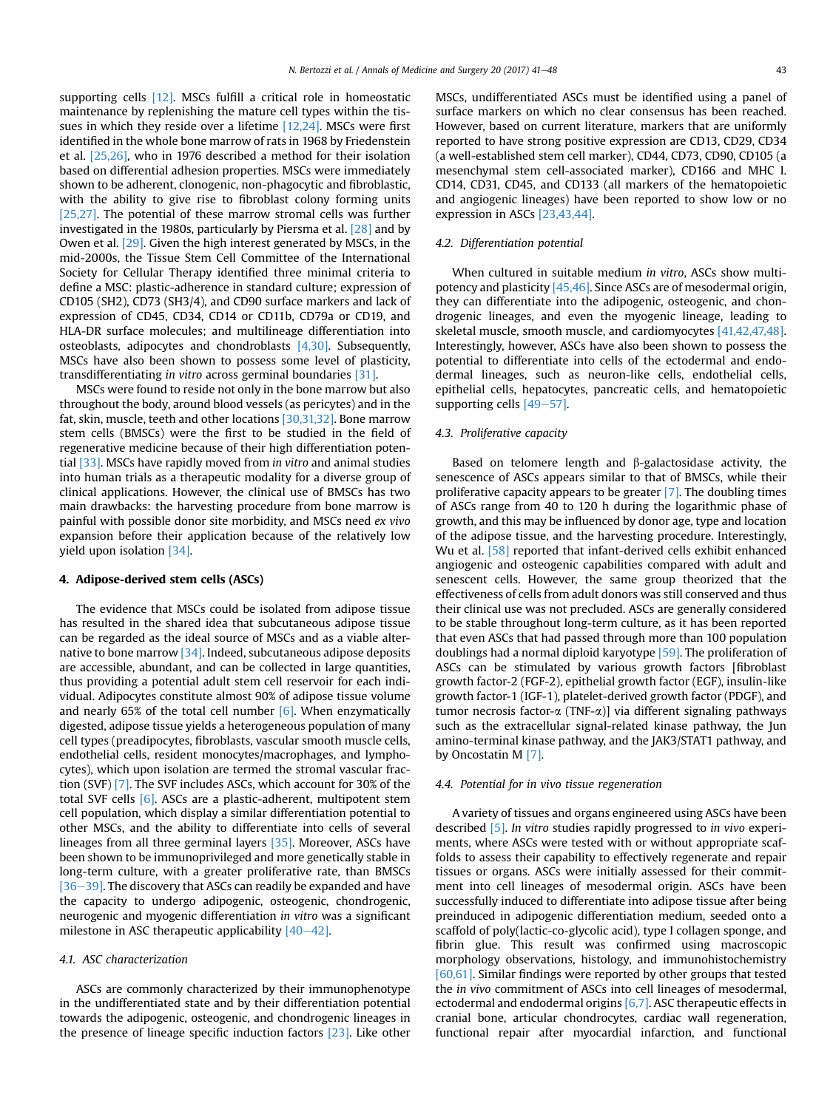supporting cells [\[12\].](#page-6-0) MSCs fulfill a critical role in homeostatic maintenance by replenishing the mature cell types within the tissues in which they reside over a lifetime [\[12,24\]](#page-6-0). MSCs were first identified in the whole bone marrow of rats in 1968 by Friedenstein et al. [\[25,26\]](#page-6-0), who in 1976 described a method for their isolation based on differential adhesion properties. MSCs were immediately shown to be adherent, clonogenic, non-phagocytic and fibroblastic, with the ability to give rise to fibroblast colony forming units [\[25,27\]](#page-6-0). The potential of these marrow stromal cells was further investigated in the 1980s, particularly by Piersma et al. [\[28\]](#page-6-0) and by Owen et al. [\[29\].](#page-6-0) Given the high interest generated by MSCs, in the mid-2000s, the Tissue Stem Cell Committee of the International Society for Cellular Therapy identified three minimal criteria to define a MSC: plastic-adherence in standard culture; expression of CD105 (SH2), CD73 (SH3/4), and CD90 surface markers and lack of expression of CD45, CD34, CD14 or CD11b, CD79a or CD19, and HLA-DR surface molecules; and multilineage differentiation into osteoblasts, adipocytes and chondroblasts  $[4,30]$ . Subsequently, MSCs have also been shown to possess some level of plasticity, transdifferentiating in vitro across germinal boundaries [\[31\].](#page-6-0)

MSCs were found to reside not only in the bone marrow but also throughout the body, around blood vessels (as pericytes) and in the fat, skin, muscle, teeth and other locations [\[30,31,32\].](#page-6-0) Bone marrow stem cells (BMSCs) were the first to be studied in the field of regenerative medicine because of their high differentiation poten-tial [\[33\].](#page-6-0) MSCs have rapidly moved from in vitro and animal studies into human trials as a therapeutic modality for a diverse group of clinical applications. However, the clinical use of BMSCs has two main drawbacks: the harvesting procedure from bone marrow is painful with possible donor site morbidity, and MSCs need ex vivo expansion before their application because of the relatively low yield upon isolation [\[34\].](#page-6-0)

# 4. Adipose-derived stem cells (ASCs)

The evidence that MSCs could be isolated from adipose tissue has resulted in the shared idea that subcutaneous adipose tissue can be regarded as the ideal source of MSCs and as a viable alternative to bone marrow  $[34]$ . Indeed, subcutaneous adipose deposits are accessible, abundant, and can be collected in large quantities, thus providing a potential adult stem cell reservoir for each individual. Adipocytes constitute almost 90% of adipose tissue volume and nearly 65% of the total cell number  $[6]$ . When enzymatically digested, adipose tissue yields a heterogeneous population of many cell types (preadipocytes, fibroblasts, vascular smooth muscle cells, endothelial cells, resident monocytes/macrophages, and lymphocytes), which upon isolation are termed the stromal vascular fraction (SVF) [\[7\]](#page-6-0). The SVF includes ASCs, which account for 30% of the total SVF cells [\[6\]](#page-6-0). ASCs are a plastic-adherent, multipotent stem cell population, which display a similar differentiation potential to other MSCs, and the ability to differentiate into cells of several lineages from all three germinal layers [\[35\].](#page-6-0) Moreover, ASCs have been shown to be immunoprivileged and more genetically stable in long-term culture, with a greater proliferative rate, than BMSCs  $[36-39]$  $[36-39]$ . The discovery that ASCs can readily be expanded and have the capacity to undergo adipogenic, osteogenic, chondrogenic, neurogenic and myogenic differentiation in vitro was a significant milestone in ASC therapeutic applicability  $[40-42]$  $[40-42]$  $[40-42]$ .

# 4.1. ASC characterization

ASCs are commonly characterized by their immunophenotype in the undifferentiated state and by their differentiation potential towards the adipogenic, osteogenic, and chondrogenic lineages in the presence of lineage specific induction factors [\[23\].](#page-6-0) Like other MSCs, undifferentiated ASCs must be identified using a panel of surface markers on which no clear consensus has been reached. However, based on current literature, markers that are uniformly reported to have strong positive expression are CD13, CD29, CD34 (a well-established stem cell marker), CD44, CD73, CD90, CD105 (a mesenchymal stem cell-associated marker), CD166 and MHC I. CD14, CD31, CD45, and CD133 (all markers of the hematopoietic and angiogenic lineages) have been reported to show low or no expression in ASCs [\[23,43,44\]](#page-6-0).

# 4.2. Differentiation potential

When cultured in suitable medium in vitro, ASCs show multipotency and plasticity [\[45,46\].](#page-6-0) Since ASCs are of mesodermal origin, they can differentiate into the adipogenic, osteogenic, and chondrogenic lineages, and even the myogenic lineage, leading to skeletal muscle, smooth muscle, and cardiomyocytes [\[41,42,47,48\].](#page-6-0) Interestingly, however, ASCs have also been shown to possess the potential to differentiate into cells of the ectodermal and endodermal lineages, such as neuron-like cells, endothelial cells, epithelial cells, hepatocytes, pancreatic cells, and hematopoietic supporting cells  $[49-57]$  $[49-57]$  $[49-57]$ .

# 4.3. Proliferative capacity

Based on telomere length and  $\beta$ -galactosidase activity, the senescence of ASCs appears similar to that of BMSCs, while their proliferative capacity appears to be greater [\[7\].](#page-6-0) The doubling times of ASCs range from 40 to 120 h during the logarithmic phase of growth, and this may be influenced by donor age, type and location of the adipose tissue, and the harvesting procedure. Interestingly, Wu et al. [\[58\]](#page-6-0) reported that infant-derived cells exhibit enhanced angiogenic and osteogenic capabilities compared with adult and senescent cells. However, the same group theorized that the effectiveness of cells from adult donors was still conserved and thus their clinical use was not precluded. ASCs are generally considered to be stable throughout long-term culture, as it has been reported that even ASCs that had passed through more than 100 population doublings had a normal diploid karyotype [\[59\]](#page-6-0). The proliferation of ASCs can be stimulated by various growth factors [fibroblast growth factor-2 (FGF-2), epithelial growth factor (EGF), insulin-like growth factor-1 (IGF-1), platelet-derived growth factor (PDGF), and tumor necrosis factor- $\alpha$  (TNF- $\alpha$ )] via different signaling pathways such as the extracellular signal-related kinase pathway, the Jun amino-terminal kinase pathway, and the JAK3/STAT1 pathway, and by Oncostatin M [\[7\]](#page-6-0).

# 4.4. Potential for in vivo tissue regeneration

A variety of tissues and organs engineered using ASCs have been described [\[5\]](#page-6-0). In vitro studies rapidly progressed to in vivo experiments, where ASCs were tested with or without appropriate scaffolds to assess their capability to effectively regenerate and repair tissues or organs. ASCs were initially assessed for their commitment into cell lineages of mesodermal origin. ASCs have been successfully induced to differentiate into adipose tissue after being preinduced in adipogenic differentiation medium, seeded onto a scaffold of poly(lactic-co-glycolic acid), type I collagen sponge, and fibrin glue. This result was confirmed using macroscopic morphology observations, histology, and immunohistochemistry [\[60,61\]](#page-6-0). Similar findings were reported by other groups that tested the in vivo commitment of ASCs into cell lineages of mesodermal, ectodermal and endodermal origins  $[6,7]$ . ASC therapeutic effects in cranial bone, articular chondrocytes, cardiac wall regeneration, functional repair after myocardial infarction, and functional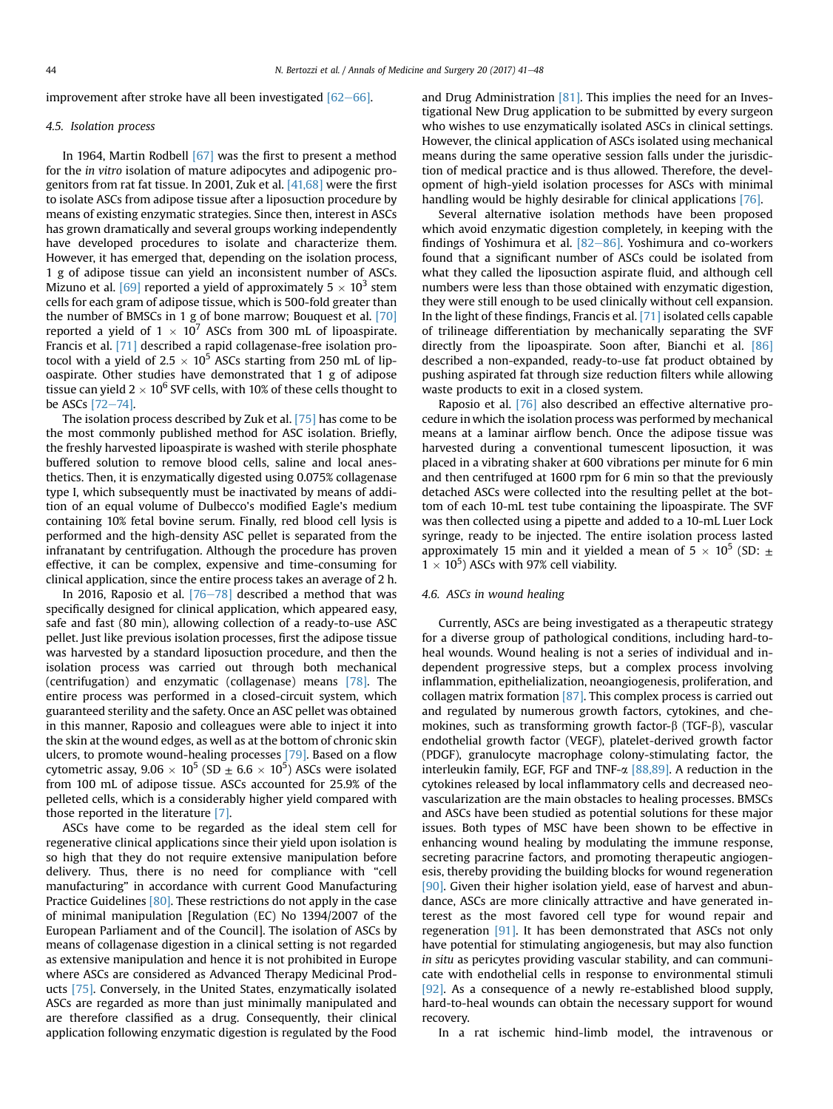improvement after stroke have all been investigated  $[62-66]$  $[62-66]$ .

# 4.5. Isolation process

In 1964, Martin Rodbell [\[67\]](#page-7-0) was the first to present a method for the in vitro isolation of mature adipocytes and adipogenic progenitors from rat fat tissue. In 2001, Zuk et al. [\[41,68\]](#page-6-0) were the first to isolate ASCs from adipose tissue after a liposuction procedure by means of existing enzymatic strategies. Since then, interest in ASCs has grown dramatically and several groups working independently have developed procedures to isolate and characterize them. However, it has emerged that, depending on the isolation process, 1 g of adipose tissue can yield an inconsistent number of ASCs. Mizuno et al. [\[69\]](#page-7-0) reported a yield of approximately  $5 \times 10^3$  stem cells for each gram of adipose tissue, which is 500-fold greater than the number of BMSCs in 1 g of bone marrow; Bouquest et al. [\[70\]](#page-7-0) reported a yield of  $1 \times 10^7$  ASCs from 300 mL of lipoaspirate. Francis et al. [\[71\]](#page-7-0) described a rapid collagenase-free isolation protocol with a yield of 2.5  $\times$  10<sup>5</sup> ASCs starting from 250 mL of lipoaspirate. Other studies have demonstrated that 1 g of adipose tissue can yield  $2 \times 10^6$  SVF cells, with 10% of these cells thought to be ASCs  $[72-74]$  $[72-74]$  $[72-74]$ .

The isolation process described by Zuk et al. [\[75\]](#page-7-0) has come to be the most commonly published method for ASC isolation. Briefly, the freshly harvested lipoaspirate is washed with sterile phosphate buffered solution to remove blood cells, saline and local anesthetics. Then, it is enzymatically digested using 0.075% collagenase type I, which subsequently must be inactivated by means of addition of an equal volume of Dulbecco's modified Eagle's medium containing 10% fetal bovine serum. Finally, red blood cell lysis is performed and the high-density ASC pellet is separated from the infranatant by centrifugation. Although the procedure has proven effective, it can be complex, expensive and time-consuming for clinical application, since the entire process takes an average of 2 h.

In 2016, Raposio et al.  $[76-78]$  $[76-78]$  $[76-78]$  described a method that was specifically designed for clinical application, which appeared easy, safe and fast (80 min), allowing collection of a ready-to-use ASC pellet. Just like previous isolation processes, first the adipose tissue was harvested by a standard liposuction procedure, and then the isolation process was carried out through both mechanical (centrifugation) and enzymatic (collagenase) means [\[78\].](#page-7-0) The entire process was performed in a closed-circuit system, which guaranteed sterility and the safety. Once an ASC pellet was obtained in this manner, Raposio and colleagues were able to inject it into the skin at the wound edges, as well as at the bottom of chronic skin ulcers, to promote wound-healing processes [\[79\]](#page-7-0). Based on a flow cytometric assay,  $9.06 \times 10^5$  (SD  $\pm$  6.6  $\times$  10<sup>5</sup>) ASCs were isolated from 100 mL of adipose tissue. ASCs accounted for 25.9% of the pelleted cells, which is a considerably higher yield compared with those reported in the literature [\[7\].](#page-6-0)

ASCs have come to be regarded as the ideal stem cell for regenerative clinical applications since their yield upon isolation is so high that they do not require extensive manipulation before delivery. Thus, there is no need for compliance with "cell manufacturing" in accordance with current Good Manufacturing Practice Guidelines [\[80\]](#page-7-0). These restrictions do not apply in the case of minimal manipulation [Regulation (EC) No 1394/2007 of the European Parliament and of the Council]. The isolation of ASCs by means of collagenase digestion in a clinical setting is not regarded as extensive manipulation and hence it is not prohibited in Europe where ASCs are considered as Advanced Therapy Medicinal Products [\[75\].](#page-7-0) Conversely, in the United States, enzymatically isolated ASCs are regarded as more than just minimally manipulated and are therefore classified as a drug. Consequently, their clinical application following enzymatic digestion is regulated by the Food and Drug Administration  $[81]$ . This implies the need for an Investigational New Drug application to be submitted by every surgeon who wishes to use enzymatically isolated ASCs in clinical settings. However, the clinical application of ASCs isolated using mechanical means during the same operative session falls under the jurisdiction of medical practice and is thus allowed. Therefore, the development of high-yield isolation processes for ASCs with minimal handling would be highly desirable for clinical applications [\[76\].](#page-7-0)

Several alternative isolation methods have been proposed which avoid enzymatic digestion completely, in keeping with the findings of Yoshimura et al.  $[82-86]$  $[82-86]$ . Yoshimura and co-workers found that a significant number of ASCs could be isolated from what they called the liposuction aspirate fluid, and although cell numbers were less than those obtained with enzymatic digestion, they were still enough to be used clinically without cell expansion. In the light of these findings, Francis et al. [\[71\]](#page-7-0) isolated cells capable of trilineage differentiation by mechanically separating the SVF directly from the lipoaspirate. Soon after, Bianchi et al. [\[86\]](#page-7-0) described a non-expanded, ready-to-use fat product obtained by pushing aspirated fat through size reduction filters while allowing waste products to exit in a closed system.

Raposio et al. [\[76\]](#page-7-0) also described an effective alternative procedure in which the isolation process was performed by mechanical means at a laminar airflow bench. Once the adipose tissue was harvested during a conventional tumescent liposuction, it was placed in a vibrating shaker at 600 vibrations per minute for 6 min and then centrifuged at 1600 rpm for 6 min so that the previously detached ASCs were collected into the resulting pellet at the bottom of each 10-mL test tube containing the lipoaspirate. The SVF was then collected using a pipette and added to a 10-mL Luer Lock syringe, ready to be injected. The entire isolation process lasted approximately 15 min and it yielded a mean of 5  $\times$  10<sup>5</sup> (SD:  $\pm$  $1 \times 10^5$ ) ASCs with 97% cell viability.

#### 4.6. ASCs in wound healing

Currently, ASCs are being investigated as a therapeutic strategy for a diverse group of pathological conditions, including hard-toheal wounds. Wound healing is not a series of individual and independent progressive steps, but a complex process involving inflammation, epithelialization, neoangiogenesis, proliferation, and collagen matrix formation [\[87\]](#page-7-0). This complex process is carried out and regulated by numerous growth factors, cytokines, and chemokines, such as transforming growth factor- $\beta$  (TGF- $\beta$ ), vascular endothelial growth factor (VEGF), platelet-derived growth factor (PDGF), granulocyte macrophage colony-stimulating factor, the interleukin family, EGF, FGF and TNF- $\alpha$  [\[88,89\]](#page-7-0). A reduction in the cytokines released by local inflammatory cells and decreased neovascularization are the main obstacles to healing processes. BMSCs and ASCs have been studied as potential solutions for these major issues. Both types of MSC have been shown to be effective in enhancing wound healing by modulating the immune response, secreting paracrine factors, and promoting therapeutic angiogenesis, thereby providing the building blocks for wound regeneration [\[90\]](#page-7-0). Given their higher isolation yield, ease of harvest and abundance, ASCs are more clinically attractive and have generated interest as the most favored cell type for wound repair and regeneration [\[91\].](#page-7-0) It has been demonstrated that ASCs not only have potential for stimulating angiogenesis, but may also function in situ as pericytes providing vascular stability, and can communicate with endothelial cells in response to environmental stimuli [\[92\]](#page-7-0). As a consequence of a newly re-established blood supply, hard-to-heal wounds can obtain the necessary support for wound recovery.

In a rat ischemic hind-limb model, the intravenous or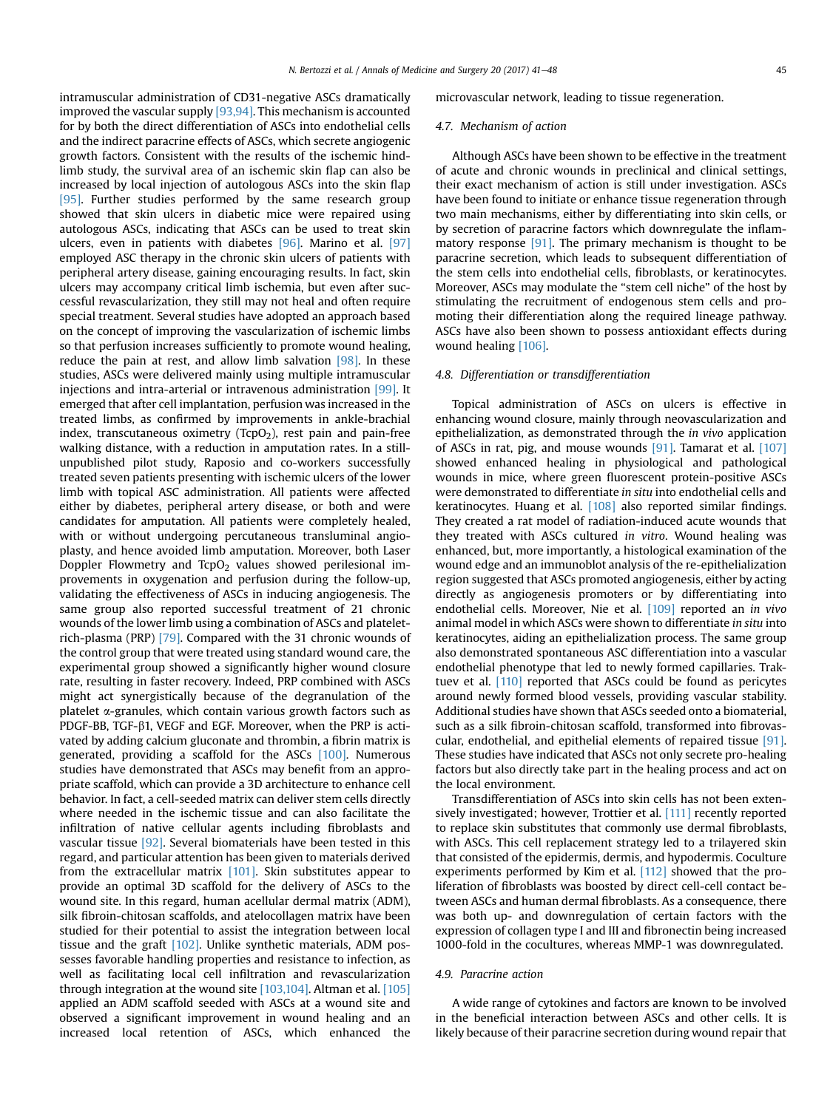intramuscular administration of CD31-negative ASCs dramatically improved the vascular supply [\[93,94\].](#page-7-0) This mechanism is accounted for by both the direct differentiation of ASCs into endothelial cells and the indirect paracrine effects of ASCs, which secrete angiogenic growth factors. Consistent with the results of the ischemic hindlimb study, the survival area of an ischemic skin flap can also be increased by local injection of autologous ASCs into the skin flap [\[95\].](#page-7-0) Further studies performed by the same research group showed that skin ulcers in diabetic mice were repaired using autologous ASCs, indicating that ASCs can be used to treat skin ulcers, even in patients with diabetes [\[96\].](#page-7-0) Marino et al. [\[97\]](#page-7-0) employed ASC therapy in the chronic skin ulcers of patients with peripheral artery disease, gaining encouraging results. In fact, skin ulcers may accompany critical limb ischemia, but even after successful revascularization, they still may not heal and often require special treatment. Several studies have adopted an approach based on the concept of improving the vascularization of ischemic limbs so that perfusion increases sufficiently to promote wound healing, reduce the pain at rest, and allow limb salvation  $[98]$ . In these studies, ASCs were delivered mainly using multiple intramuscular injections and intra-arterial or intravenous administration [\[99\]](#page-7-0). It emerged that after cell implantation, perfusion was increased in the treated limbs, as confirmed by improvements in ankle-brachial index, transcutaneous oximetry (TcpO<sub>2</sub>), rest pain and pain-free walking distance, with a reduction in amputation rates. In a stillunpublished pilot study, Raposio and co-workers successfully treated seven patients presenting with ischemic ulcers of the lower limb with topical ASC administration. All patients were affected either by diabetes, peripheral artery disease, or both and were candidates for amputation. All patients were completely healed, with or without undergoing percutaneous transluminal angioplasty, and hence avoided limb amputation. Moreover, both Laser Doppler Flowmetry and  $TcpO<sub>2</sub>$  values showed perilesional improvements in oxygenation and perfusion during the follow-up, validating the effectiveness of ASCs in inducing angiogenesis. The same group also reported successful treatment of 21 chronic wounds of the lower limb using a combination of ASCs and plateletrich-plasma (PRP) [\[79\].](#page-7-0) Compared with the 31 chronic wounds of the control group that were treated using standard wound care, the experimental group showed a significantly higher wound closure rate, resulting in faster recovery. Indeed, PRP combined with ASCs might act synergistically because of the degranulation of the platelet a-granules, which contain various growth factors such as PDGF-BB, TGF- $\beta$ 1, VEGF and EGF. Moreover, when the PRP is activated by adding calcium gluconate and thrombin, a fibrin matrix is generated, providing a scaffold for the ASCs [\[100\].](#page-7-0) Numerous studies have demonstrated that ASCs may benefit from an appropriate scaffold, which can provide a 3D architecture to enhance cell behavior. In fact, a cell-seeded matrix can deliver stem cells directly where needed in the ischemic tissue and can also facilitate the infiltration of native cellular agents including fibroblasts and vascular tissue [\[92\].](#page-7-0) Several biomaterials have been tested in this regard, and particular attention has been given to materials derived from the extracellular matrix [\[101\].](#page-7-0) Skin substitutes appear to provide an optimal 3D scaffold for the delivery of ASCs to the wound site. In this regard, human acellular dermal matrix (ADM), silk fibroin-chitosan scaffolds, and atelocollagen matrix have been studied for their potential to assist the integration between local tissue and the graft [\[102\]](#page-7-0). Unlike synthetic materials, ADM possesses favorable handling properties and resistance to infection, as well as facilitating local cell infiltration and revascularization through integration at the wound site [\[103,104\].](#page-7-0) Altman et al. [\[105\]](#page-7-0) applied an ADM scaffold seeded with ASCs at a wound site and observed a significant improvement in wound healing and an increased local retention of ASCs, which enhanced the

#### microvascular network, leading to tissue regeneration.

# 4.7. Mechanism of action

Although ASCs have been shown to be effective in the treatment of acute and chronic wounds in preclinical and clinical settings, their exact mechanism of action is still under investigation. ASCs have been found to initiate or enhance tissue regeneration through two main mechanisms, either by differentiating into skin cells, or by secretion of paracrine factors which downregulate the inflammatory response [\[91\].](#page-7-0) The primary mechanism is thought to be paracrine secretion, which leads to subsequent differentiation of the stem cells into endothelial cells, fibroblasts, or keratinocytes. Moreover, ASCs may modulate the "stem cell niche" of the host by stimulating the recruitment of endogenous stem cells and promoting their differentiation along the required lineage pathway. ASCs have also been shown to possess antioxidant effects during wound healing [\[106\]](#page-7-0).

# 4.8. Differentiation or transdifferentiation

Topical administration of ASCs on ulcers is effective in enhancing wound closure, mainly through neovascularization and epithelialization, as demonstrated through the in vivo application of ASCs in rat, pig, and mouse wounds [\[91\]](#page-7-0). Tamarat et al. [\[107\]](#page-7-0) showed enhanced healing in physiological and pathological wounds in mice, where green fluorescent protein-positive ASCs were demonstrated to differentiate in situ into endothelial cells and keratinocytes. Huang et al. [\[108\]](#page-7-0) also reported similar findings. They created a rat model of radiation-induced acute wounds that they treated with ASCs cultured in vitro. Wound healing was enhanced, but, more importantly, a histological examination of the wound edge and an immunoblot analysis of the re-epithelialization region suggested that ASCs promoted angiogenesis, either by acting directly as angiogenesis promoters or by differentiating into endothelial cells. Moreover, Nie et al. [\[109\]](#page-7-0) reported an in vivo animal model in which ASCs were shown to differentiate in situ into keratinocytes, aiding an epithelialization process. The same group also demonstrated spontaneous ASC differentiation into a vascular endothelial phenotype that led to newly formed capillaries. Trak-tuev et al. <a>[\[110\]](#page-7-0)</a> reported that ASCs could be found as pericytes around newly formed blood vessels, providing vascular stability. Additional studies have shown that ASCs seeded onto a biomaterial, such as a silk fibroin-chitosan scaffold, transformed into fibrovascular, endothelial, and epithelial elements of repaired tissue [\[91\].](#page-7-0) These studies have indicated that ASCs not only secrete pro-healing factors but also directly take part in the healing process and act on the local environment.

Transdifferentiation of ASCs into skin cells has not been exten-sively investigated; however, Trottier et al. [\[111\]](#page-7-0) recently reported to replace skin substitutes that commonly use dermal fibroblasts, with ASCs. This cell replacement strategy led to a trilayered skin that consisted of the epidermis, dermis, and hypodermis. Coculture experiments performed by Kim et al. [\[112\]](#page-7-0) showed that the proliferation of fibroblasts was boosted by direct cell-cell contact between ASCs and human dermal fibroblasts. As a consequence, there was both up- and downregulation of certain factors with the expression of collagen type I and III and fibronectin being increased 1000-fold in the cocultures, whereas MMP-1 was downregulated.

# 4.9. Paracrine action

A wide range of cytokines and factors are known to be involved in the beneficial interaction between ASCs and other cells. It is likely because of their paracrine secretion during wound repair that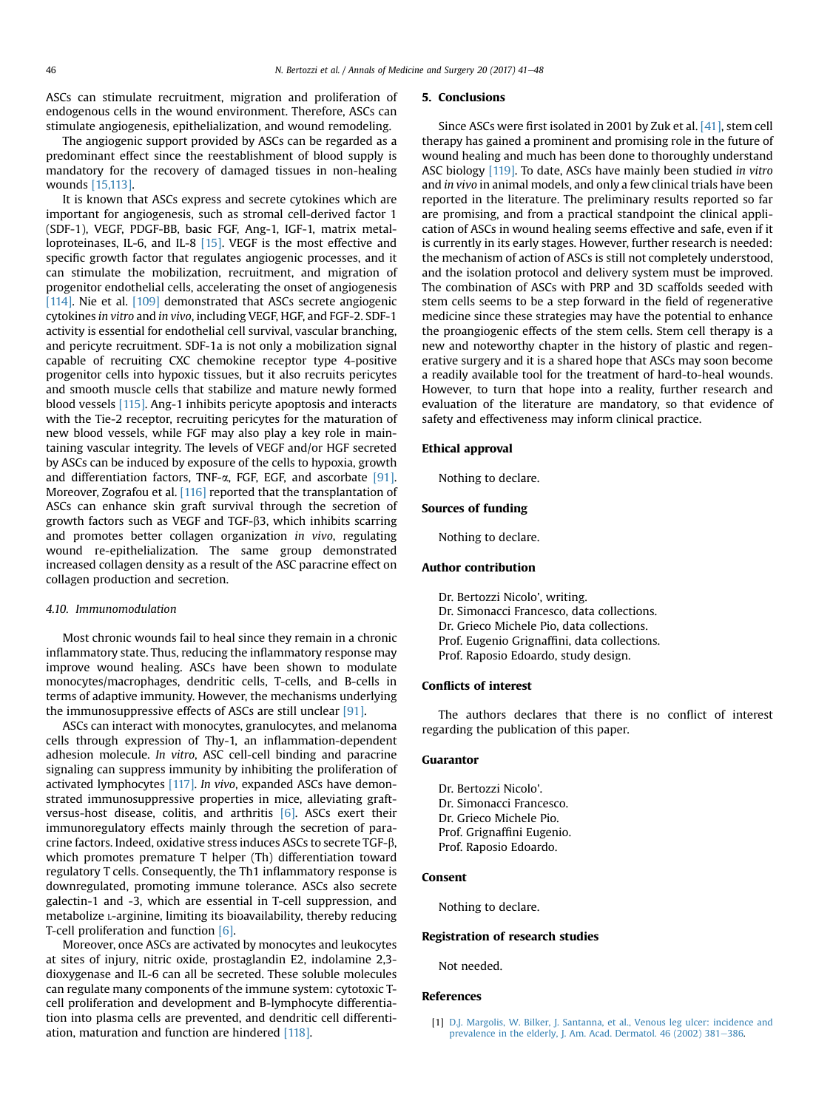<span id="page-5-0"></span>ASCs can stimulate recruitment, migration and proliferation of endogenous cells in the wound environment. Therefore, ASCs can stimulate angiogenesis, epithelialization, and wound remodeling.

The angiogenic support provided by ASCs can be regarded as a predominant effect since the reestablishment of blood supply is mandatory for the recovery of damaged tissues in non-healing wounds [\[15,113\]](#page-6-0).

It is known that ASCs express and secrete cytokines which are important for angiogenesis, such as stromal cell-derived factor 1 (SDF-1), VEGF, PDGF-BB, basic FGF, Ang-1, IGF-1, matrix metalloproteinases, IL-6, and IL-8 [\[15\].](#page-6-0) VEGF is the most effective and specific growth factor that regulates angiogenic processes, and it can stimulate the mobilization, recruitment, and migration of progenitor endothelial cells, accelerating the onset of angiogenesis [\[114\].](#page-7-0) Nie et al. [\[109\]](#page-7-0) demonstrated that ASCs secrete angiogenic cytokines in vitro and in vivo, including VEGF, HGF, and FGF-2. SDF-1 activity is essential for endothelial cell survival, vascular branching, and pericyte recruitment. SDF-1a is not only a mobilization signal capable of recruiting CXC chemokine receptor type 4-positive progenitor cells into hypoxic tissues, but it also recruits pericytes and smooth muscle cells that stabilize and mature newly formed blood vessels [\[115\].](#page-7-0) Ang-1 inhibits pericyte apoptosis and interacts with the Tie-2 receptor, recruiting pericytes for the maturation of new blood vessels, while FGF may also play a key role in maintaining vascular integrity. The levels of VEGF and/or HGF secreted by ASCs can be induced by exposure of the cells to hypoxia, growth and differentiation factors, TNF- $\alpha$ , FGF, EGF, and ascorbate [\[91\].](#page-7-0) Moreover, Zografou et al. [\[116\]](#page-7-0) reported that the transplantation of ASCs can enhance skin graft survival through the secretion of growth factors such as VEGF and TGF-b3, which inhibits scarring and promotes better collagen organization in vivo, regulating wound re-epithelialization. The same group demonstrated increased collagen density as a result of the ASC paracrine effect on collagen production and secretion.

#### 4.10. Immunomodulation

Most chronic wounds fail to heal since they remain in a chronic inflammatory state. Thus, reducing the inflammatory response may improve wound healing. ASCs have been shown to modulate monocytes/macrophages, dendritic cells, T-cells, and B-cells in terms of adaptive immunity. However, the mechanisms underlying the immunosuppressive effects of ASCs are still unclear [\[91\]](#page-7-0).

ASCs can interact with monocytes, granulocytes, and melanoma cells through expression of Thy-1, an inflammation-dependent adhesion molecule. In vitro, ASC cell-cell binding and paracrine signaling can suppress immunity by inhibiting the proliferation of activated lymphocytes [\[117\]](#page-7-0). In vivo, expanded ASCs have demonstrated immunosuppressive properties in mice, alleviating graftversus-host disease, colitis, and arthritis [\[6\]](#page-6-0). ASCs exert their immunoregulatory effects mainly through the secretion of paracrine factors. Indeed, oxidative stress induces ASCs to secrete TGF-b, which promotes premature T helper (Th) differentiation toward regulatory T cells. Consequently, the Th1 inflammatory response is downregulated, promoting immune tolerance. ASCs also secrete galectin-1 and -3, which are essential in T-cell suppression, and metabolize L-arginine, limiting its bioavailability, thereby reducing T-cell proliferation and function [\[6\].](#page-6-0)

Moreover, once ASCs are activated by monocytes and leukocytes at sites of injury, nitric oxide, prostaglandin E2, indolamine 2,3 dioxygenase and IL-6 can all be secreted. These soluble molecules can regulate many components of the immune system: cytotoxic Tcell proliferation and development and B-lymphocyte differentiation into plasma cells are prevented, and dendritic cell differentiation, maturation and function are hindered [\[118\].](#page-7-0)

#### 5. Conclusions

Since ASCs were first isolated in 2001 by Zuk et al. [\[41\],](#page-6-0) stem cell therapy has gained a prominent and promising role in the future of wound healing and much has been done to thoroughly understand ASC biology [\[119\]](#page-7-0). To date, ASCs have mainly been studied in vitro and in vivo in animal models, and only a few clinical trials have been reported in the literature. The preliminary results reported so far are promising, and from a practical standpoint the clinical application of ASCs in wound healing seems effective and safe, even if it is currently in its early stages. However, further research is needed: the mechanism of action of ASCs is still not completely understood, and the isolation protocol and delivery system must be improved. The combination of ASCs with PRP and 3D scaffolds seeded with stem cells seems to be a step forward in the field of regenerative medicine since these strategies may have the potential to enhance the proangiogenic effects of the stem cells. Stem cell therapy is a new and noteworthy chapter in the history of plastic and regenerative surgery and it is a shared hope that ASCs may soon become a readily available tool for the treatment of hard-to-heal wounds. However, to turn that hope into a reality, further research and evaluation of the literature are mandatory, so that evidence of safety and effectiveness may inform clinical practice.

#### Ethical approval

Nothing to declare.

# Sources of funding

Nothing to declare.

# Author contribution

Dr. Bertozzi Nicolo', writing. Dr. Simonacci Francesco, data collections. Dr. Grieco Michele Pio, data collections. Prof. Eugenio Grignaffini, data collections. Prof. Raposio Edoardo, study design.

### Conflicts of interest

The authors declares that there is no conflict of interest regarding the publication of this paper.

#### Guarantor

Dr. Bertozzi Nicolo'. Dr. Simonacci Francesco. Dr. Grieco Michele Pio. Prof. Grignaffini Eugenio. Prof. Raposio Edoardo.

# Consent

Nothing to declare.

# Registration of research studies

Not needed.

# References

[1] [D.J. Margolis, W. Bilker, J. Santanna, et al., Venous leg ulcer: incidence and](http://refhub.elsevier.com/S2049-0801(17)30238-8/sref1) [prevalence in the elderly, J. Am. Acad. Dermatol. 46 \(2002\) 381](http://refhub.elsevier.com/S2049-0801(17)30238-8/sref1)-[386.](http://refhub.elsevier.com/S2049-0801(17)30238-8/sref1)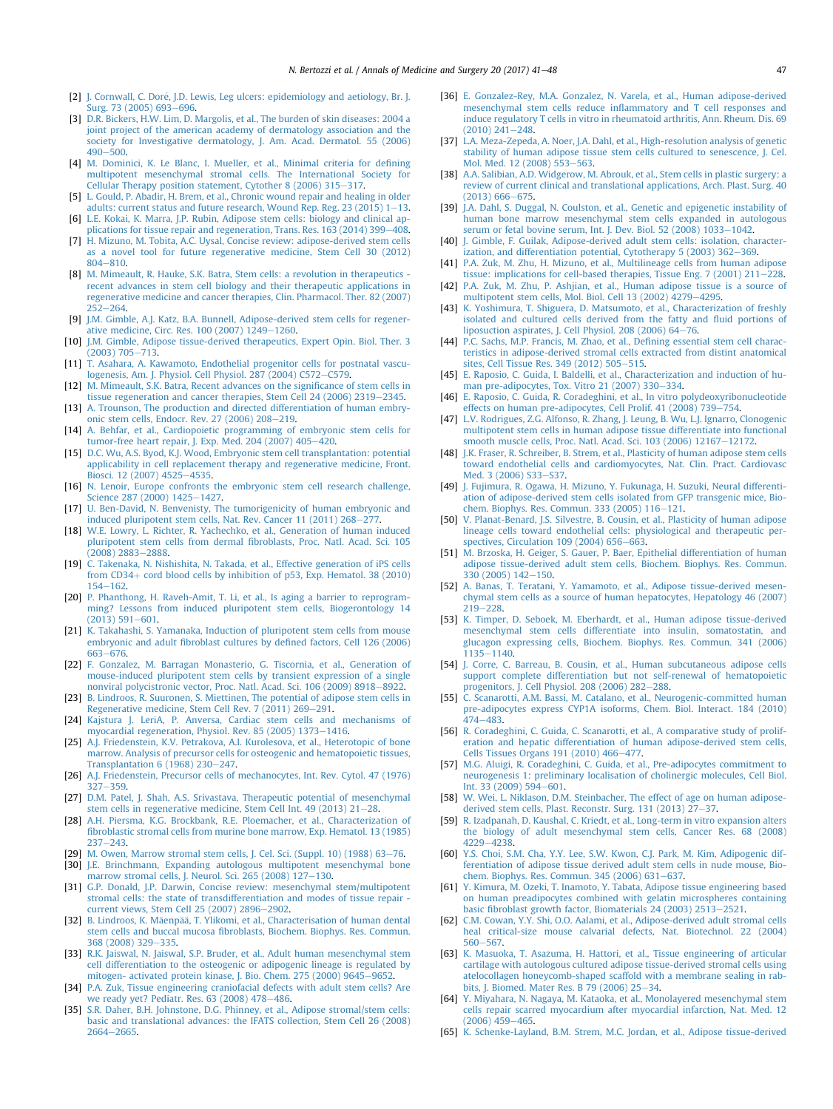- <span id="page-6-0"></span>[2] [J. Cornwall, C. Dor](http://refhub.elsevier.com/S2049-0801(17)30238-8/sref2)é[, J.D. Lewis, Leg ulcers: epidemiology and aetiology, Br. J.](http://refhub.elsevier.com/S2049-0801(17)30238-8/sref2) [Surg. 73 \(2005\) 693](http://refhub.elsevier.com/S2049-0801(17)30238-8/sref2)-[696](http://refhub.elsevier.com/S2049-0801(17)30238-8/sref2).
- [3] [D.R. Bickers, H.W. Lim, D. Margolis, et al., The burden of skin diseases: 2004 a](http://refhub.elsevier.com/S2049-0801(17)30238-8/sref3) [joint project of the american academy of dermatology association and the](http://refhub.elsevier.com/S2049-0801(17)30238-8/sref3) [society for Investigative dermatology, J. Am. Acad. Dermatol. 55 \(2006\)](http://refhub.elsevier.com/S2049-0801(17)30238-8/sref3)  $490 - 500$  $490 - 500$
- [4] [M. Dominici, K. Le Blanc, I. Mueller, et al., Minimal criteria for de](http://refhub.elsevier.com/S2049-0801(17)30238-8/sref4)fining [multipotent mesenchymal stromal cells. The International Society for](http://refhub.elsevier.com/S2049-0801(17)30238-8/sref4) [Cellular Therapy position statement, Cytother 8 \(2006\) 315](http://refhub.elsevier.com/S2049-0801(17)30238-8/sref4)-[317.](http://refhub.elsevier.com/S2049-0801(17)30238-8/sref4)
- [5] [L. Gould, P. Abadir, H. Brem, et al., Chronic wound repair and healing in older](http://refhub.elsevier.com/S2049-0801(17)30238-8/sref5) adults: current status and future research, Wound Rep. Reg.  $23(2015)$  1–[13](http://refhub.elsevier.com/S2049-0801(17)30238-8/sref5).
- [6] [L.E. Kokai, K. Marra, J.P. Rubin, Adipose stem cells: biology and clinical ap](http://refhub.elsevier.com/S2049-0801(17)30238-8/sref6)plications for tissue repair and regeneration, Trans. Res.  $163$  (2014) 399 $-408$  $-408$ .
- [7] [H. Mizuno, M. Tobita, A.C. Uysal, Concise review: adipose-derived stem cells](http://refhub.elsevier.com/S2049-0801(17)30238-8/sref7) [as a novel tool for future regenerative medicine, Stem Cell 30 \(2012\)](http://refhub.elsevier.com/S2049-0801(17)30238-8/sref7) [804](http://refhub.elsevier.com/S2049-0801(17)30238-8/sref7)-[810.](http://refhub.elsevier.com/S2049-0801(17)30238-8/sref7)
- [8] [M. Mimeault, R. Hauke, S.K. Batra, Stem cells: a revolution in therapeutics](http://refhub.elsevier.com/S2049-0801(17)30238-8/sref8)  [recent advances in stem cell biology and their therapeutic applications in](http://refhub.elsevier.com/S2049-0801(17)30238-8/sref8) [regenerative medicine and cancer therapies, Clin. Pharmacol. Ther. 82 \(2007\)](http://refhub.elsevier.com/S2049-0801(17)30238-8/sref8)  $252 - 264$  $252 - 264$
- [9] [J.M. Gimble, A.J. Katz, B.A. Bunnell, Adipose-derived stem cells for regener](http://refhub.elsevier.com/S2049-0801(17)30238-8/sref9)ative medicine, Circ. Res.  $100 (2007) 1249 - 1260$  $100 (2007) 1249 - 1260$ .
- [10] [J.M. Gimble, Adipose tissue-derived therapeutics, Expert Opin. Biol. Ther. 3](http://refhub.elsevier.com/S2049-0801(17)30238-8/sref10)  $(2003)$  705 $-713$  $-713$ .
- [11] [T. Asahara, A. Kawamoto, Endothelial progenitor cells for postnatal vascu](http://refhub.elsevier.com/S2049-0801(17)30238-8/sref11)logenesis, Am. J. Physiol. Cell Physiol.  $287$  (2004) C572-[C579.](http://refhub.elsevier.com/S2049-0801(17)30238-8/sref11)
- [12] [M. Mimeault, S.K. Batra, Recent advances on the signi](http://refhub.elsevier.com/S2049-0801(17)30238-8/sref12)ficance of stem cells in tissue regeneration and cancer therapies, Stem Cell  $24$  (2006)  $2319-2345$ .
- [13] [A. Trounson, The production and directed differentiation of human embry](http://refhub.elsevier.com/S2049-0801(17)30238-8/sref13)[onic stem cells, Endocr. Rev. 27 \(2006\) 208](http://refhub.elsevier.com/S2049-0801(17)30238-8/sref13)-[219.](http://refhub.elsevier.com/S2049-0801(17)30238-8/sref13)
- [14] [A. Behfar, et al., Cardiopoietic programming of embryonic stem cells for](http://refhub.elsevier.com/S2049-0801(17)30238-8/sref14) [tumor-free heart repair, J. Exp. Med. 204 \(2007\) 405](http://refhub.elsevier.com/S2049-0801(17)30238-8/sref14)-[420](http://refhub.elsevier.com/S2049-0801(17)30238-8/sref14).
- [15] [D.C. Wu, A.S. Byod, K.J. Wood, Embryonic stem cell transplantation: potential](http://refhub.elsevier.com/S2049-0801(17)30238-8/sref15) [applicability in cell replacement therapy and regenerative medicine, Front.](http://refhub.elsevier.com/S2049-0801(17)30238-8/sref15) [Biosci. 12 \(2007\) 4525](http://refhub.elsevier.com/S2049-0801(17)30238-8/sref15)-[4535.](http://refhub.elsevier.com/S2049-0801(17)30238-8/sref15)
- [16] [N. Lenoir, Europe confronts the embryonic stem cell research challenge,](http://refhub.elsevier.com/S2049-0801(17)30238-8/sref16) [Science 287 \(2000\) 1425](http://refhub.elsevier.com/S2049-0801(17)30238-8/sref16)-[1427](http://refhub.elsevier.com/S2049-0801(17)30238-8/sref16).
- [17] [U. Ben-David, N. Benvenisty, The tumorigenicity of human embryonic and](http://refhub.elsevier.com/S2049-0801(17)30238-8/sref17) [induced pluripotent stem cells, Nat. Rev. Cancer 11 \(2011\) 268](http://refhub.elsevier.com/S2049-0801(17)30238-8/sref17)-[277](http://refhub.elsevier.com/S2049-0801(17)30238-8/sref17).
- [18] [W.E. Lowry, L. Richter, R. Yachechko, et al., Generation of human induced](http://refhub.elsevier.com/S2049-0801(17)30238-8/sref18) pluripotent stem cells from dermal fi[broblasts, Proc. Natl. Acad. Sci. 105](http://refhub.elsevier.com/S2049-0801(17)30238-8/sref18)  $(2008)$  2883-2888
- [19] [C. Takenaka, N. Nishishita, N. Takada, et al., Effective generation of iPS cells](http://refhub.elsevier.com/S2049-0801(17)30238-8/sref19) [from CD34](http://refhub.elsevier.com/S2049-0801(17)30238-8/sref19)+ [cord blood cells by inhibition of p53, Exp. Hematol. 38 \(2010\)](http://refhub.elsevier.com/S2049-0801(17)30238-8/sref19)  $154 - 162$  $154 - 162$  $154 - 162$
- [20] [P. Phanthong, H. Raveh-Amit, T. Li, et al., Is aging a barrier to reprogram](http://refhub.elsevier.com/S2049-0801(17)30238-8/sref20)[ming? Lessons from induced pluripotent stem cells, Biogerontology 14](http://refhub.elsevier.com/S2049-0801(17)30238-8/sref20)  $(2013)$  591-[601](http://refhub.elsevier.com/S2049-0801(17)30238-8/sref20).
- [21] [K. Takahashi, S. Yamanaka, Induction of pluripotent stem cells from mouse](http://refhub.elsevier.com/S2049-0801(17)30238-8/sref21) embryonic and adult fibroblast cultures by defi[ned factors, Cell 126 \(2006\)](http://refhub.elsevier.com/S2049-0801(17)30238-8/sref21) [663](http://refhub.elsevier.com/S2049-0801(17)30238-8/sref21)-[676](http://refhub.elsevier.com/S2049-0801(17)30238-8/sref21).
- [22] [F. Gonzalez, M. Barragan Monasterio, G. Tiscornia, et al., Generation of](http://refhub.elsevier.com/S2049-0801(17)30238-8/sref22) [mouse-induced pluripotent stem cells by transient expression of a single](http://refhub.elsevier.com/S2049-0801(17)30238-8/sref22) [nonviral polycistronic vector, Proc. Natl. Acad. Sci. 106 \(2009\) 8918](http://refhub.elsevier.com/S2049-0801(17)30238-8/sref22)-[8922.](http://refhub.elsevier.com/S2049-0801(17)30238-8/sref22)
- [23] [B. Lindroos, R. Suuronen, S. Miettinen, The potential of adipose stem cells in](http://refhub.elsevier.com/S2049-0801(17)30238-8/sref23) Regenerative medicine, Stem Cell Rev.  $7(2011)$  269-[291.](http://refhub.elsevier.com/S2049-0801(17)30238-8/sref23)
- [24] [Kajstura J. LeriA, P. Anversa, Cardiac stem cells and mechanisms of](http://refhub.elsevier.com/S2049-0801(17)30238-8/sref24) [myocardial regeneration, Physiol. Rev. 85 \(2005\) 1373](http://refhub.elsevier.com/S2049-0801(17)30238-8/sref24)-[1416.](http://refhub.elsevier.com/S2049-0801(17)30238-8/sref24)
- [25] [A.J. Friedenstein, K.V. Petrakova, A.I. Kurolesova, et al., Heterotopic of bone](http://refhub.elsevier.com/S2049-0801(17)30238-8/sref25) [marrow. Analysis of precursor cells for osteogenic and hematopoietic tissues,](http://refhub.elsevier.com/S2049-0801(17)30238-8/sref25) Transplantation  $6(1968)$  230-[247](http://refhub.elsevier.com/S2049-0801(17)30238-8/sref25).
- [26] [A.J. Friedenstein, Precursor cells of mechanocytes, Int. Rev. Cytol. 47 \(1976\)](http://refhub.elsevier.com/S2049-0801(17)30238-8/sref26)  $327 - 359.$  $327 - 359.$  $327 - 359.$  $327 - 359.$
- [27] [D.M. Patel, J. Shah, A.S. Srivastava, Therapeutic potential of mesenchymal](http://refhub.elsevier.com/S2049-0801(17)30238-8/sref27) [stem cells in regenerative medicine, Stem Cell Int. 49 \(2013\) 21](http://refhub.elsevier.com/S2049-0801(17)30238-8/sref27)-[28](http://refhub.elsevier.com/S2049-0801(17)30238-8/sref27).
- [28] [A.H. Piersma, K.G. Brockbank, R.E. Ploemacher, et al., Characterization of](http://refhub.elsevier.com/S2049-0801(17)30238-8/sref28) fi[broblastic stromal cells from murine bone marrow, Exp. Hematol. 13 \(1985\)](http://refhub.elsevier.com/S2049-0801(17)30238-8/sref28)  $237 - 243.$  $237 - 243.$  $237 - 243.$  $237 - 243.$
- [29] M. Owen, Marrow stromal stem cells, J. Cel. Sci. (Suppl.  $10$ ) (1988) 63-[76.](http://refhub.elsevier.com/S2049-0801(17)30238-8/sref29)
- [30] [J.E. Brinchmann, Expanding autologous multipotent mesenchymal bone](http://refhub.elsevier.com/S2049-0801(17)30238-8/sref30) [marrow stromal cells, J. Neurol. Sci. 265 \(2008\) 127](http://refhub.elsevier.com/S2049-0801(17)30238-8/sref30)-[130.](http://refhub.elsevier.com/S2049-0801(17)30238-8/sref30)
- [31] [G.P. Donald, J.P. Darwin, Concise review: mesenchymal stem/multipotent](http://refhub.elsevier.com/S2049-0801(17)30238-8/sref31) [stromal cells: the state of transdifferentiation and modes of tissue repair](http://refhub.elsevier.com/S2049-0801(17)30238-8/sref31)  [current views, Stem Cell 25 \(2007\) 2896](http://refhub.elsevier.com/S2049-0801(17)30238-8/sref31)-[2902.](http://refhub.elsevier.com/S2049-0801(17)30238-8/sref31)
- [32] [B. Lindroos, K. M](http://refhub.elsevier.com/S2049-0801(17)30238-8/sref32)äenpää, T. Ylikomi, et al., Characterisation of human dental stem cells and buccal mucosa fi[broblasts, Biochem. Biophys. Res. Commun.](http://refhub.elsevier.com/S2049-0801(17)30238-8/sref32) [368 \(2008\) 329](http://refhub.elsevier.com/S2049-0801(17)30238-8/sref32)-[335.](http://refhub.elsevier.com/S2049-0801(17)30238-8/sref32)
- [33] [R.K. Jaiswal, N. Jaiswal, S.P. Bruder, et al., Adult human mesenchymal stem](http://refhub.elsevier.com/S2049-0801(17)30238-8/sref33) [cell differentiation to the osteogenic or adipogenic lineage is regulated by](http://refhub.elsevier.com/S2049-0801(17)30238-8/sref33) [mitogen- activated protein kinase, J. Bio. Chem. 275 \(2000\) 9645](http://refhub.elsevier.com/S2049-0801(17)30238-8/sref33)-[9652](http://refhub.elsevier.com/S2049-0801(17)30238-8/sref33).
- [34] [P.A. Zuk, Tissue engineering craniofacial defects with adult stem cells? Are](http://refhub.elsevier.com/S2049-0801(17)30238-8/sref34) [we ready yet? Pediatr. Res. 63 \(2008\) 478](http://refhub.elsevier.com/S2049-0801(17)30238-8/sref34)-[486](http://refhub.elsevier.com/S2049-0801(17)30238-8/sref34).
- [35] [S.R. Daher, B.H. Johnstone, D.G. Phinney, et al., Adipose stromal/stem cells:](http://refhub.elsevier.com/S2049-0801(17)30238-8/sref35) [basic and translational advances: the IFATS collection, Stem Cell 26 \(2008\)](http://refhub.elsevier.com/S2049-0801(17)30238-8/sref35) [2664](http://refhub.elsevier.com/S2049-0801(17)30238-8/sref35)-[2665.](http://refhub.elsevier.com/S2049-0801(17)30238-8/sref35)
- [36] [E. Gonzalez-Rey, M.A. Gonzalez, N. Varela, et al., Human adipose-derived](http://refhub.elsevier.com/S2049-0801(17)30238-8/sref36) mesenchymal stem cells reduce infl[ammatory and T cell responses and](http://refhub.elsevier.com/S2049-0801(17)30238-8/sref36) [induce regulatory T cells in vitro in rheumatoid arthritis, Ann. Rheum. Dis. 69](http://refhub.elsevier.com/S2049-0801(17)30238-8/sref36)  $(2010)$   $241 - 248$  $241 - 248$ .
- [37] [L.A. Meza-Zepeda, A. Noer, J.A. Dahl, et al., High-resolution analysis of genetic](http://refhub.elsevier.com/S2049-0801(17)30238-8/sref37) [stability of human adipose tissue stem cells cultured to senescence, J. Cel.](http://refhub.elsevier.com/S2049-0801(17)30238-8/sref37) [Mol. Med. 12 \(2008\) 553](http://refhub.elsevier.com/S2049-0801(17)30238-8/sref37)-[563.](http://refhub.elsevier.com/S2049-0801(17)30238-8/sref37)
- [38] [A.A. Salibian, A.D. Widgerow, M. Abrouk, et al., Stem cells in plastic surgery: a](http://refhub.elsevier.com/S2049-0801(17)30238-8/sref38) [review of current clinical and translational applications, Arch. Plast. Surg. 40](http://refhub.elsevier.com/S2049-0801(17)30238-8/sref38)  $(2013) 666 - 675.$  $(2013) 666 - 675.$  $(2013) 666 - 675.$  $(2013) 666 - 675.$
- [39] [J.A. Dahl, S. Duggal, N. Coulston, et al., Genetic and epigenetic instability of](http://refhub.elsevier.com/S2049-0801(17)30238-8/sref39) [human bone marrow mesenchymal stem cells expanded in autologous](http://refhub.elsevier.com/S2049-0801(17)30238-8/sref39) [serum or fetal bovine serum, Int. J. Dev. Biol. 52 \(2008\) 1033](http://refhub.elsevier.com/S2049-0801(17)30238-8/sref39)-[1042](http://refhub.elsevier.com/S2049-0801(17)30238-8/sref39).
- [40] [J. Gimble, F. Guilak, Adipose-derived adult stem cells: isolation, character](http://refhub.elsevier.com/S2049-0801(17)30238-8/sref40)[ization, and differentiation potential, Cytotherapy 5 \(2003\) 362](http://refhub.elsevier.com/S2049-0801(17)30238-8/sref40)-[369](http://refhub.elsevier.com/S2049-0801(17)30238-8/sref40).
- [41] [P.A. Zuk, M. Zhu, H. Mizuno, et al., Multilineage cells from human adipose](http://refhub.elsevier.com/S2049-0801(17)30238-8/sref41) tissue: implications for cell-based therapies. Tissue Eng. 7 (2001) 211-[228](http://refhub.elsevier.com/S2049-0801(17)30238-8/sref41).
- [42] [P.A. Zuk, M. Zhu, P. Ashjian, et al., Human adipose tissue is a source of](http://refhub.elsevier.com/S2049-0801(17)30238-8/sref42) multipotent stem cells, Mol. Biol. Cell 13  $(2002)$   $4279-4295$ .
- [43] [K. Yoshimura, T. Shiguera, D. Matsumoto, et al., Characterization of freshly](http://refhub.elsevier.com/S2049-0801(17)30238-8/sref43) [isolated and cultured cells derived from the fatty and](http://refhub.elsevier.com/S2049-0801(17)30238-8/sref43) fluid portions of [liposuction aspirates, J. Cell Physiol. 208 \(2006\) 64](http://refhub.elsevier.com/S2049-0801(17)30238-8/sref43)-[76.](http://refhub.elsevier.com/S2049-0801(17)30238-8/sref43)
- [44] [P.C. Sachs, M.P. Francis, M. Zhao, et al., De](http://refhub.elsevier.com/S2049-0801(17)30238-8/sref44)fining essential stem cell charac[teristics in adipose-derived stromal cells extracted from distint anatomical](http://refhub.elsevier.com/S2049-0801(17)30238-8/sref44) [sites, Cell Tissue Res. 349 \(2012\) 505](http://refhub.elsevier.com/S2049-0801(17)30238-8/sref44)-[515.](http://refhub.elsevier.com/S2049-0801(17)30238-8/sref44)
- [45] [E. Raposio, C. Guida, I. Baldelli, et al., Characterization and induction of hu](http://refhub.elsevier.com/S2049-0801(17)30238-8/sref45)[man pre-adipocytes, Tox. Vitro 21 \(2007\) 330](http://refhub.elsevier.com/S2049-0801(17)30238-8/sref45)-[334.](http://refhub.elsevier.com/S2049-0801(17)30238-8/sref45)
- [46] [E. Raposio, C. Guida, R. Coradeghini, et al., In vitro polydeoxyribonucleotide](http://refhub.elsevier.com/S2049-0801(17)30238-8/sref46) [effects on human pre-adipocytes, Cell Prolif. 41 \(2008\) 739](http://refhub.elsevier.com/S2049-0801(17)30238-8/sref46)-[754.](http://refhub.elsevier.com/S2049-0801(17)30238-8/sref46)
- [47] [L.V. Rodrigues, Z.G. Alfonso, R. Zhang, J. Leung, B. Wu, L.J. Ignarro, Clonogenic](http://refhub.elsevier.com/S2049-0801(17)30238-8/sref47) [multipotent stem cells in human adipose tissue differentiate into functional](http://refhub.elsevier.com/S2049-0801(17)30238-8/sref47) [smooth muscle cells, Proc. Natl. Acad. Sci. 103 \(2006\) 12167](http://refhub.elsevier.com/S2049-0801(17)30238-8/sref47)-[12172.](http://refhub.elsevier.com/S2049-0801(17)30238-8/sref47)
- [48] [J.K. Fraser, R. Schreiber, B. Strem, et al., Plasticity of human adipose stem cells](http://refhub.elsevier.com/S2049-0801(17)30238-8/sref48) [toward endothelial cells and cardiomyocytes, Nat. Clin. Pract. Cardiovasc](http://refhub.elsevier.com/S2049-0801(17)30238-8/sref48) [Med. 3 \(2006\) S33](http://refhub.elsevier.com/S2049-0801(17)30238-8/sref48)-[S37.](http://refhub.elsevier.com/S2049-0801(17)30238-8/sref48)
- [49] [J. Fujimura, R. Ogawa, H. Mizuno, Y. Fukunaga, H. Suzuki, Neural differenti](http://refhub.elsevier.com/S2049-0801(17)30238-8/sref49)[ation of adipose-derived stem cells isolated from GFP transgenic mice, Bio](http://refhub.elsevier.com/S2049-0801(17)30238-8/sref49)[chem. Biophys. Res. Commun. 333 \(2005\) 116](http://refhub.elsevier.com/S2049-0801(17)30238-8/sref49)-[121.](http://refhub.elsevier.com/S2049-0801(17)30238-8/sref49)
- [50] [V. Planat-Benard, J.S. Silvestre, B. Cousin, et al., Plasticity of human adipose](http://refhub.elsevier.com/S2049-0801(17)30238-8/sref50) [lineage cells toward endothelial cells: physiological and therapeutic per](http://refhub.elsevier.com/S2049-0801(17)30238-8/sref50)[spectives, Circulation 109 \(2004\) 656](http://refhub.elsevier.com/S2049-0801(17)30238-8/sref50)-[663.](http://refhub.elsevier.com/S2049-0801(17)30238-8/sref50)
- [51] [M. Brzoska, H. Geiger, S. Gauer, P. Baer, Epithelial differentiation of human](http://refhub.elsevier.com/S2049-0801(17)30238-8/sref51) [adipose tissue-derived adult stem cells, Biochem. Biophys. Res. Commun.](http://refhub.elsevier.com/S2049-0801(17)30238-8/sref51) [330 \(2005\) 142](http://refhub.elsevier.com/S2049-0801(17)30238-8/sref51)-[150.](http://refhub.elsevier.com/S2049-0801(17)30238-8/sref51)
- [52] [A. Banas, T. Teratani, Y. Yamamoto, et al., Adipose tissue-derived mesen](http://refhub.elsevier.com/S2049-0801(17)30238-8/sref52)[chymal stem cells as a source of human hepatocytes, Hepatology 46 \(2007\)](http://refhub.elsevier.com/S2049-0801(17)30238-8/sref52)  $219 - 228$  $219 - 228$  $219 - 228$
- [53] [K. Timper, D. Seboek, M. Eberhardt, et al., Human adipose tissue-derived](http://refhub.elsevier.com/S2049-0801(17)30238-8/sref53) [mesenchymal stem cells differentiate into insulin, somatostatin, and](http://refhub.elsevier.com/S2049-0801(17)30238-8/sref53) [glucagon expressing cells, Biochem. Biophys. Res. Commun. 341 \(2006\)](http://refhub.elsevier.com/S2049-0801(17)30238-8/sref53) [1135](http://refhub.elsevier.com/S2049-0801(17)30238-8/sref53)-[1140.](http://refhub.elsevier.com/S2049-0801(17)30238-8/sref53)
- [54] [J. Corre, C. Barreau, B. Cousin, et al., Human subcutaneous adipose cells](http://refhub.elsevier.com/S2049-0801(17)30238-8/sref54) [support complete differentiation but not self-renewal of hematopoietic](http://refhub.elsevier.com/S2049-0801(17)30238-8/sref54) [progenitors, J. Cell Physiol. 208 \(2006\) 282](http://refhub.elsevier.com/S2049-0801(17)30238-8/sref54)-[288](http://refhub.elsevier.com/S2049-0801(17)30238-8/sref54).
- [55] [C. Scanarotti, A.M. Bassi, M. Catalano, et al., Neurogenic-committed human](http://refhub.elsevier.com/S2049-0801(17)30238-8/sref55) [pre-adipocytes express CYP1A isoforms, Chem. Biol. Interact. 184 \(2010\)](http://refhub.elsevier.com/S2049-0801(17)30238-8/sref55)  $474 - 483$  $474 - 483$  $474 - 483$
- [56] [R. Coradeghini, C. Guida, C. Scanarotti, et al., A comparative study of prolif](http://refhub.elsevier.com/S2049-0801(17)30238-8/sref56)[eration and hepatic differentiation of human adipose-derived stem cells,](http://refhub.elsevier.com/S2049-0801(17)30238-8/sref56) [Cells Tissues Organs 191 \(2010\) 466](http://refhub.elsevier.com/S2049-0801(17)30238-8/sref56)-[477.](http://refhub.elsevier.com/S2049-0801(17)30238-8/sref56)
- [57] [M.G. Aluigi, R. Coradeghini, C. Guida, et al., Pre-adipocytes commitment to](http://refhub.elsevier.com/S2049-0801(17)30238-8/sref57) [neurogenesis 1: preliminary localisation of cholinergic molecules, Cell Biol.](http://refhub.elsevier.com/S2049-0801(17)30238-8/sref57) Int. 33 (2009)  $594 - 601$  $594 - 601$ .
- [58] [W. Wei, L. Niklason, D.M. Steinbacher, The effect of age on human adipose](http://refhub.elsevier.com/S2049-0801(17)30238-8/sref58)[derived stem cells, Plast. Reconstr. Surg. 131 \(2013\) 27](http://refhub.elsevier.com/S2049-0801(17)30238-8/sref58)-[37](http://refhub.elsevier.com/S2049-0801(17)30238-8/sref58).
- [59] [R. Izadpanah, D. Kaushal, C. Kriedt, et al., Long-term in vitro expansion alters](http://refhub.elsevier.com/S2049-0801(17)30238-8/sref59) [the biology of adult mesenchymal stem cells, Cancer Res. 68 \(2008\)](http://refhub.elsevier.com/S2049-0801(17)30238-8/sref59) [4229](http://refhub.elsevier.com/S2049-0801(17)30238-8/sref59)-[4238.](http://refhub.elsevier.com/S2049-0801(17)30238-8/sref59)
- [60] [Y.S. Choi, S.M. Cha, Y.Y. Lee, S.W. Kwon, C.J. Park, M. Kim, Adipogenic dif](http://refhub.elsevier.com/S2049-0801(17)30238-8/sref60)[ferentiation of adipose tissue derived adult stem cells in nude mouse, Bio](http://refhub.elsevier.com/S2049-0801(17)30238-8/sref60)[chem. Biophys. Res. Commun. 345 \(2006\) 631](http://refhub.elsevier.com/S2049-0801(17)30238-8/sref60)-[637.](http://refhub.elsevier.com/S2049-0801(17)30238-8/sref60)
- [61] [Y. Kimura, M. Ozeki, T. Inamoto, Y. Tabata, Adipose tissue engineering based](http://refhub.elsevier.com/S2049-0801(17)30238-8/sref61) [on human preadipocytes combined with gelatin microspheres containing](http://refhub.elsevier.com/S2049-0801(17)30238-8/sref61) basic fi[broblast growth factor, Biomaterials 24 \(2003\) 2513](http://refhub.elsevier.com/S2049-0801(17)30238-8/sref61)-[2521](http://refhub.elsevier.com/S2049-0801(17)30238-8/sref61).
- [62] [C.M. Cowan, Y.Y. Shi, O.O. Aalami, et al., Adipose-derived adult stromal cells](http://refhub.elsevier.com/S2049-0801(17)30238-8/sref62) [heal critical-size mouse calvarial defects, Nat. Biotechnol. 22 \(2004\)](http://refhub.elsevier.com/S2049-0801(17)30238-8/sref62) [560](http://refhub.elsevier.com/S2049-0801(17)30238-8/sref62)-[567](http://refhub.elsevier.com/S2049-0801(17)30238-8/sref62).
- [63] [K. Masuoka, T. Asazuma, H. Hattori, et al., Tissue engineering of articular](http://refhub.elsevier.com/S2049-0801(17)30238-8/sref63) [cartilage with autologous cultured adipose tissue-derived stromal cells using](http://refhub.elsevier.com/S2049-0801(17)30238-8/sref63) [atelocollagen honeycomb-shaped scaffold with a membrane sealing in rab](http://refhub.elsevier.com/S2049-0801(17)30238-8/sref63)[bits, J. Biomed. Mater Res. B 79 \(2006\) 25](http://refhub.elsevier.com/S2049-0801(17)30238-8/sref63)-[34](http://refhub.elsevier.com/S2049-0801(17)30238-8/sref63).
- [64] [Y. Miyahara, N. Nagaya, M. Kataoka, et al., Monolayered mesenchymal stem](http://refhub.elsevier.com/S2049-0801(17)30238-8/sref64) [cells repair scarred myocardium after myocardial infarction, Nat. Med. 12](http://refhub.elsevier.com/S2049-0801(17)30238-8/sref64)  $(2006)$  459-[465](http://refhub.elsevier.com/S2049-0801(17)30238-8/sref64).
- [65] [K. Schenke-Layland, B.M. Strem, M.C. Jordan, et al., Adipose tissue-derived](http://refhub.elsevier.com/S2049-0801(17)30238-8/sref65)